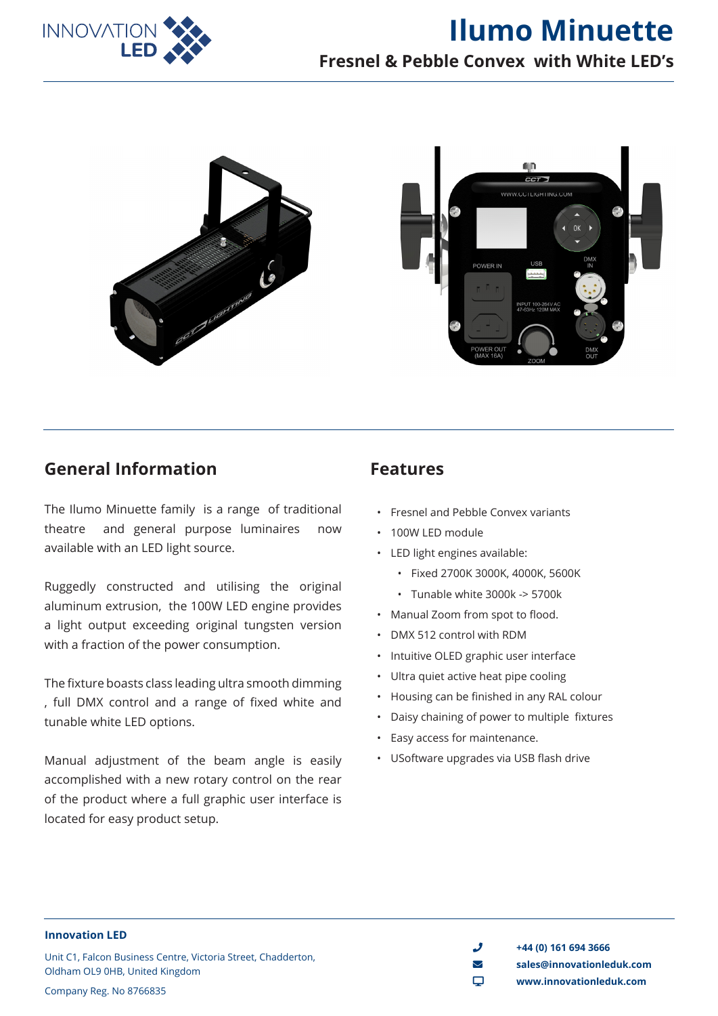



### **General Information**

The Ilumo Minuette family is a range of traditional theatre and general purpose luminaires now available with an LED light source.

Ruggedly constructed and utilising the original aluminum extrusion, the 100W LED engine provides a light output exceeding original tungsten version with a fraction of the power consumption.

The fixture boasts class leading ultra smooth dimming , full DMX control and a range of fixed white and tunable white LED options.

Manual adjustment of the beam angle is easily accomplished with a new rotary control on the rear of the product where a full graphic user interface is located for easy product setup.

### **Features**

- Fresnel and Pebble Convex variants
- 100W LED module
- LED light engines available:
	- Fixed 2700K 3000K, 4000K, 5600K
	- Tunable white 3000k -> 5700k
- Manual Zoom from spot to flood.
- DMX 512 control with RDM
- Intuitive OLED graphic user interface
- Ultra quiet active heat pipe cooling
- Housing can be finished in any RAL colour
- Daisy chaining of power to multiple fixtures
- Easy access for maintenance.
- USoftware upgrades via USB flash drive

**Innovation LED**

Unit C1, Falcon Business Centre, Victoria Street, Chadderton, Oldham OL9 0HB, United Kingdom Company Reg. No 8766835

 $\bigcup$  +44 (0) 161 694 3666 envelope **sales@innovationleduk.com**

desktop **www.innovationleduk.com**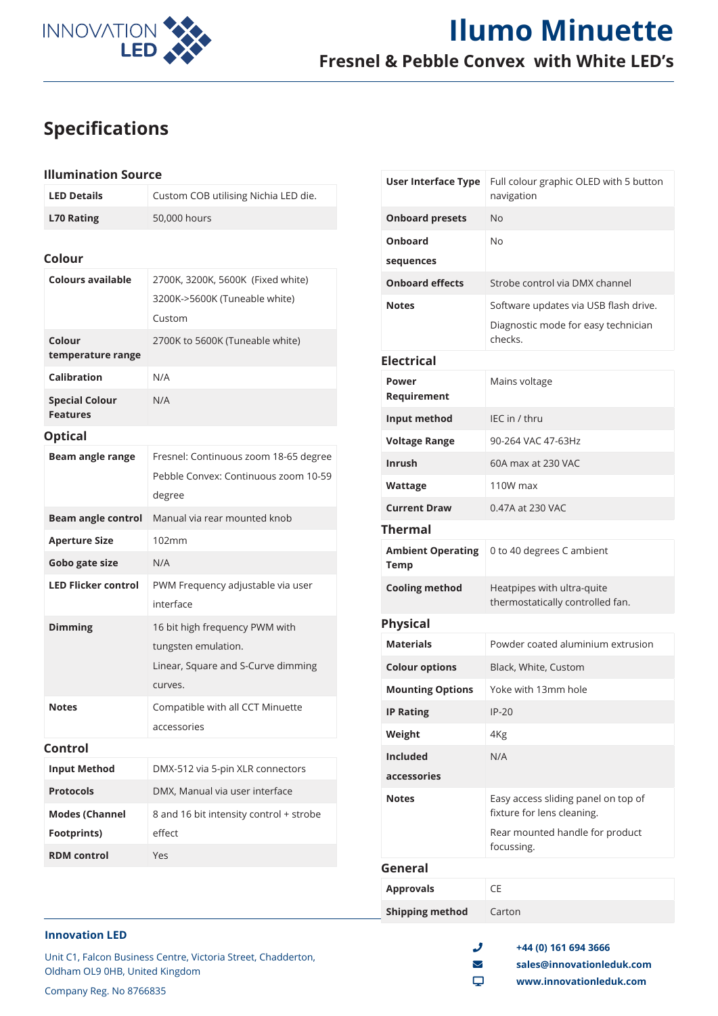

# **Ilumo Minuette Fresnel & Pebble Convex with White LED's**

# **Specifications**

#### **Illumination Source**

| <b>LED Details</b> | Custom COB utilising Nichia LED die. |
|--------------------|--------------------------------------|
| <b>L70 Rating</b>  | 50,000 hours                         |

#### **Colour**

| <b>Colours available</b>                 | 2700K, 3200K, 5600K (Fixed white)<br>3200K->5600K (Tuneable white)<br>Custom                           |  |
|------------------------------------------|--------------------------------------------------------------------------------------------------------|--|
| Colour<br>temperature range              | 2700K to 5600K (Tuneable white)                                                                        |  |
| <b>Calibration</b>                       | N/A                                                                                                    |  |
| <b>Special Colour</b><br><b>Features</b> | N/A                                                                                                    |  |
| <b>Optical</b>                           |                                                                                                        |  |
| Beam angle range                         | Fresnel: Continuous zoom 18-65 degree<br>Pebble Convex: Continuous zoom 10-59<br>degree                |  |
| <b>Beam angle control</b>                | Manual via rear mounted knob                                                                           |  |
| <b>Aperture Size</b>                     | 102mm                                                                                                  |  |
| Gobo gate size                           | N/A                                                                                                    |  |
| <b>LED Flicker control</b>               | PWM Frequency adjustable via user<br>interface                                                         |  |
| <b>Dimming</b>                           | 16 bit high frequency PWM with<br>tungsten emulation.<br>Linear, Square and S-Curve dimming<br>curves. |  |
| <b>Notes</b>                             | Compatible with all CCT Minuette<br>accessories                                                        |  |
| Control                                  |                                                                                                        |  |
| <b>Input Method</b>                      | DMX-512 via 5-pin XLR connectors                                                                       |  |
| <b>Protocols</b>                         | DMX, Manual via user interface                                                                         |  |
| <b>Modes (Channel</b>                    | 8 and 16 bit intensity control + strobe                                                                |  |
| Footprints)                              | effect                                                                                                 |  |
| <b>RDM</b> control                       | Yes                                                                                                    |  |
|                                          |                                                                                                        |  |

| <b>User Interface Type</b>       | Full colour graphic OLED with 5 button<br>navigation              |  |
|----------------------------------|-------------------------------------------------------------------|--|
| <b>Onboard presets</b>           | <b>No</b>                                                         |  |
| Onboard                          | No                                                                |  |
| sequences                        |                                                                   |  |
| <b>Onboard effects</b>           | Strobe control via DMX channel                                    |  |
| <b>Notes</b>                     | Software updates via USB flash drive.                             |  |
|                                  | Diagnostic mode for easy technician<br>checks.                    |  |
| <b>Electrical</b>                |                                                                   |  |
| Power<br>Requirement             | Mains voltage                                                     |  |
| Input method                     | IEC in / thru                                                     |  |
| <b>Voltage Range</b>             | 90-264 VAC 47-63Hz                                                |  |
| <b>Inrush</b>                    | 60A max at 230 VAC                                                |  |
| Wattage                          | 110W max                                                          |  |
| <b>Current Draw</b>              | 0.47A at 230 VAC                                                  |  |
| <b>Thermal</b>                   |                                                                   |  |
| <b>Ambient Operating</b><br>Temp | 0 to 40 degrees C ambient                                         |  |
| <b>Cooling method</b>            | Heatpipes with ultra-quite<br>thermostatically controlled fan.    |  |
| <b>Physical</b>                  |                                                                   |  |
| <b>Materials</b>                 | Powder coated aluminium extrusion                                 |  |
| <b>Colour options</b>            | Black, White, Custom                                              |  |
| <b>Mounting Options</b>          | Yoke with 13mm hole                                               |  |
| <b>IP Rating</b>                 | $IP-20$                                                           |  |
| Weight                           | 4Kg                                                               |  |
| <b>Included</b>                  | N/A                                                               |  |
| accessories                      |                                                                   |  |
| <b>Notes</b>                     | Easy access sliding panel on top of<br>fixture for lens cleaning. |  |
|                                  | Rear mounted handle for product<br>focussing.                     |  |
| General                          |                                                                   |  |
| <b>Approvals</b>                 | CE                                                                |  |
| <b>Shipping method</b>           | Carton                                                            |  |

#### **Innovation LED**

Unit C1, Falcon Business Centre, Victoria Street, Chadderton, Oldham OL9 0HB, United Kingdom

 $\frac{1}{2}$  +44 (0) 161 694 3666 envelope **sales@innovationleduk.com**

desktop **www.innovationleduk.com**

Company Reg. No 8766835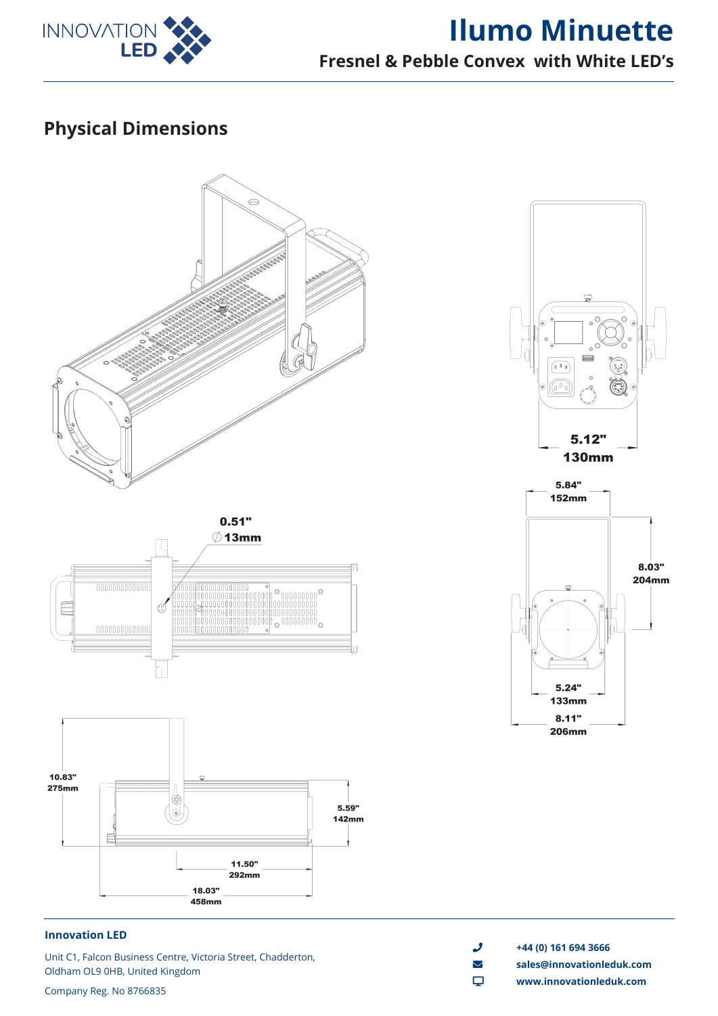

# **Ilumo Minuette Fresnel & Pebble Convex with White LED's**

# **Physical Dimensions**



#### **Innovation LED**

Unit C1, Falcon Business Centre, Victoria Street, Chadderton, Oldham OL9 0HB, United Kingdom

Company Reg. No 8766835

- $\bigcup$  +44 (0) 161 694 3666
- envelope **sales@innovationleduk.com**
- desktop **www.innovationleduk.com**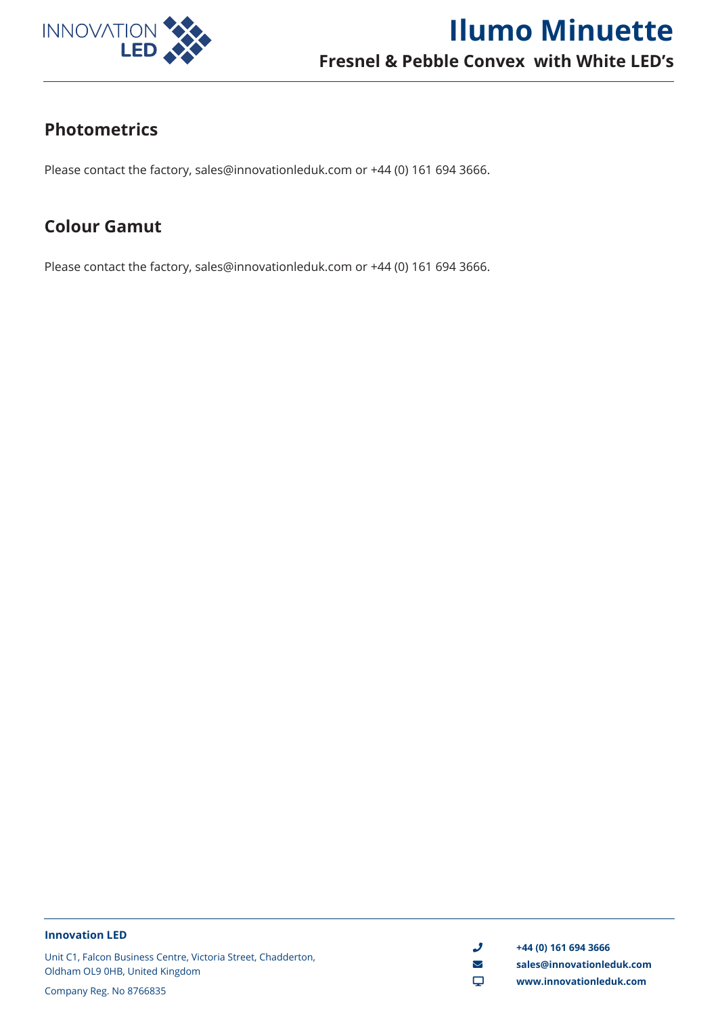

## **Photometrics**

Please contact the factory, sales@innovationleduk.com or +44 (0) 161 694 3666.

### **Colour Gamut**

Please contact the factory, sales@innovationleduk.com or +44 (0) 161 694 3666.

#### **Innovation LED**

Unit C1, Falcon Business Centre, Victoria Street, Chadderton, Oldham OL9 0HB, United Kingdom

 $\frac{1}{2}$  +44 (0) 161 694 3666

- envelope **sales@innovationleduk.com**
- desktop **www.innovationleduk.com**